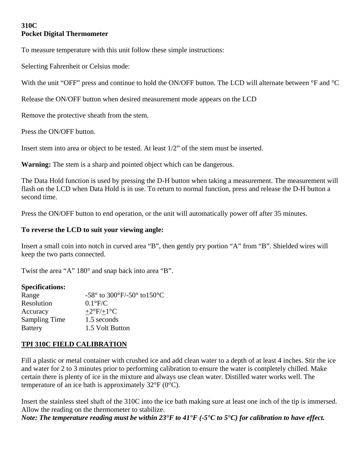# **310C Pocket Digital Thermometer**

To measure temperature with this unit follow these simple instructions:

Selecting Fahrenheit or Celsius mode:

With the unit "OFF" press and continue to hold the ON/OFF button. The LCD will alternate between °F and °C

Release the ON/OFF button when desired measurement mode appears on the LCD

Remove the protective sheath from the stem.

Press the ON/OFF button.

Insert stem into area or object to be tested. At least 1/2" of the stem must be inserted.

**Warning:** The stem is a sharp and pointed object which can be dangerous.

The Data Hold function is used by pressing the D-H button when taking a measurement. The measurement will flash on the LCD when Data Hold is in use. To return to normal function, press and release the D-H button a second time.

Press the ON/OFF button to end operation, or the unit will automatically power off after 35 minutes.

### **To reverse the LCD to suit your viewing angle:**

Insert a small coin into notch in curved area "B", then gently pry portion "A" from "B". Shielded wires will keep the two parts connected.

Twist the area "A" 180° and snap back into area "B".

#### **Specifications:**

| $-58^{\circ}$ to 300°F/-50° to 150°C |
|--------------------------------------|
| $0.1^{\circ}$ F/C                    |
| $+2$ °F/+1°C                         |
| 1.5 seconds                          |
| 1.5 Volt Button                      |
|                                      |

### **TPI 310C FIELD CALIBRATION**

Fill a plastic or metal container with crushed ice and add clean water to a depth of at least 4 inches. Stir the ice and water for 2 to 3 minutes prior to performing calibration to ensure the water is completely chilled. Make certain there is plenty of ice in the mixture and always use clean water. Distilled water works well. The temperature of an ice bath is approximately  $32^{\circ}F(0^{\circ}C)$ .

Insert the stainless steel shaft of the 310C into the ice bath making sure at least one inch of the tip is immersed. Allow the reading on the thermometer to stabilize. *Note: The temperature reading must be within 23°F to 41°F (-5°C to 5°C) for calibration to have effect.*